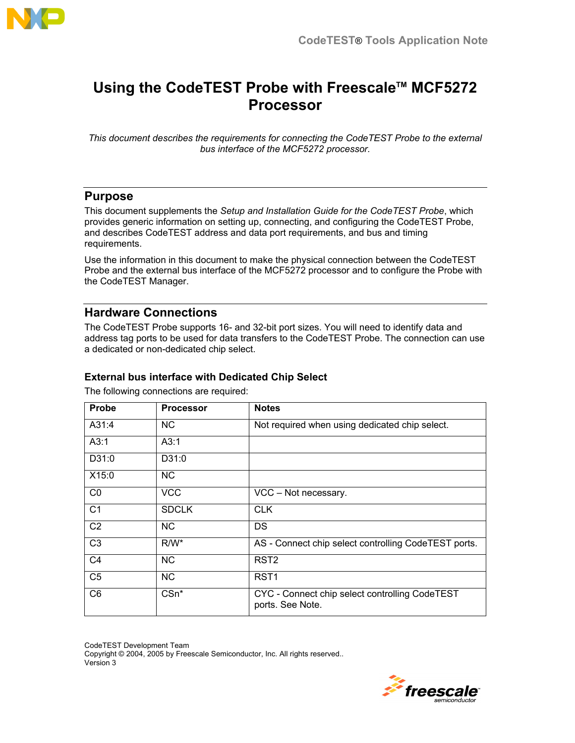

# **Using the CodeTEST Probe with Freescale™ MCF5272 Processor**

*This document describes the requirements for connecting the CodeTEST Probe to the external bus interface of the MCF5272 processor.* 

# **Purpose**

This document supplements the *Setup and Installation Guide for the CodeTEST Probe*, which provides generic information on setting up, connecting, and configuring the CodeTEST Probe, and describes CodeTEST address and data port requirements, and bus and timing requirements.

Use the information in this document to make the physical connection between the CodeTEST Probe and the external bus interface of the MCF5272 processor and to configure the Probe with the CodeTEST Manager.

## **Hardware Connections**

The CodeTEST Probe supports 16- and 32-bit port sizes. You will need to identify data and address tag ports to be used for data transfers to the CodeTEST Probe. The connection can use a dedicated or non-dedicated chip select.

## **External bus interface with Dedicated Chip Select**

The following connections are required:

| <b>Probe</b>   | <b>Processor</b> | <b>Notes</b>                                                       |
|----------------|------------------|--------------------------------------------------------------------|
| A31:4          | NC.              | Not required when using dedicated chip select.                     |
| A3:1           | A3:1             |                                                                    |
| D31:0          | D31:0            |                                                                    |
| X15:0          | <b>NC</b>        |                                                                    |
| CO             | <b>VCC</b>       | VCC - Not necessary.                                               |
| C <sub>1</sub> | <b>SDCLK</b>     | <b>CLK</b>                                                         |
| C <sub>2</sub> | NC.              | DS                                                                 |
| C <sub>3</sub> | $R/W^*$          | AS - Connect chip select controlling CodeTEST ports.               |
| C <sub>4</sub> | <b>NC</b>        | RST <sub>2</sub>                                                   |
| C <sub>5</sub> | <b>NC</b>        | RST <sub>1</sub>                                                   |
| C <sub>6</sub> | CSn*             | CYC - Connect chip select controlling CodeTEST<br>ports. See Note. |

CodeTEST Development Team Copyright © 2004, 2005 by Freescale Semiconductor, Inc. All rights reserved.. Version 3

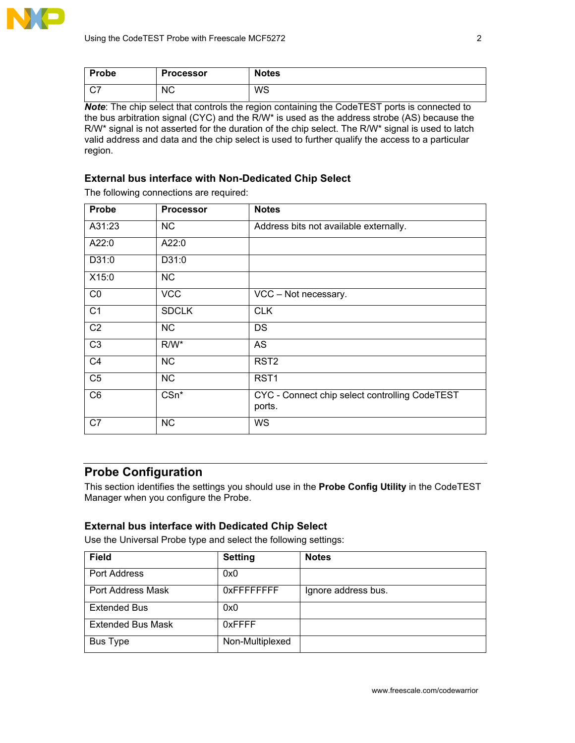

| <b>Probe</b> | <b>Processor</b> | <b>Notes</b> |
|--------------|------------------|--------------|
| $\sim$<br>◡  | <b>NC</b>        | WS           |

*Note*: The chip select that controls the region containing the CodeTEST ports is connected to the bus arbitration signal (CYC) and the R/W\* is used as the address strobe (AS) because the R/W\* signal is not asserted for the duration of the chip select. The R/W\* signal is used to latch valid address and data and the chip select is used to further qualify the access to a particular region.

#### **External bus interface with Non-Dedicated Chip Select**

The following connections are required:

| Probe           | <b>Processor</b> | <b>Notes</b>                                             |
|-----------------|------------------|----------------------------------------------------------|
| A31:23          | <b>NC</b>        | Address bits not available externally.                   |
| A22:0           | A22:0            |                                                          |
| D31:0           | D31:0            |                                                          |
| X15:0           | <b>NC</b>        |                                                          |
| CO              | <b>VCC</b>       | VCC - Not necessary.                                     |
| $\overline{C1}$ | <b>SDCLK</b>     | <b>CLK</b>                                               |
| C <sub>2</sub>  | <b>NC</b>        | <b>DS</b>                                                |
| $\overline{C3}$ | $R/W^*$          | AS                                                       |
| C <sub>4</sub>  | <b>NC</b>        | RST <sub>2</sub>                                         |
| C <sub>5</sub>  | NC               | RST <sub>1</sub>                                         |
| C <sub>6</sub>  | $CSn^*$          | CYC - Connect chip select controlling CodeTEST<br>ports. |
| C7              | <b>NC</b>        | <b>WS</b>                                                |

### **Probe Configuration**

This section identifies the settings you should use in the **Probe Config Utility** in the CodeTEST Manager when you configure the Probe.

#### **External bus interface with Dedicated Chip Select**

Use the Universal Probe type and select the following settings:

| <b>Field</b>             | <b>Setting</b>     | <b>Notes</b>        |
|--------------------------|--------------------|---------------------|
| Port Address             | 0x0                |                     |
| Port Address Mask        | <b>OXFFFFFFFFF</b> | Ignore address bus. |
| <b>Extended Bus</b>      | 0x0                |                     |
| <b>Extended Bus Mask</b> | 0xFFFF             |                     |
| Bus Type                 | Non-Multiplexed    |                     |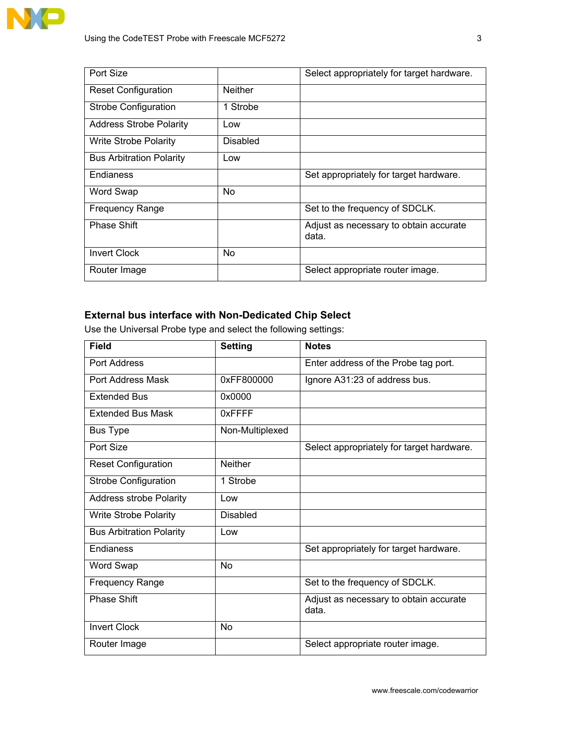

| Port Size                       |                 | Select appropriately for target hardware.       |
|---------------------------------|-----------------|-------------------------------------------------|
| <b>Reset Configuration</b>      | <b>Neither</b>  |                                                 |
| Strobe Configuration            | 1 Strobe        |                                                 |
| <b>Address Strobe Polarity</b>  | Low             |                                                 |
| <b>Write Strobe Polarity</b>    | <b>Disabled</b> |                                                 |
| <b>Bus Arbitration Polarity</b> | Low             |                                                 |
| Endianess                       |                 | Set appropriately for target hardware.          |
| Word Swap                       | <b>No</b>       |                                                 |
| <b>Frequency Range</b>          |                 | Set to the frequency of SDCLK.                  |
| <b>Phase Shift</b>              |                 | Adjust as necessary to obtain accurate<br>data. |
| <b>Invert Clock</b>             | N <sub>o</sub>  |                                                 |
| Router Image                    |                 | Select appropriate router image.                |

## **External bus interface with Non-Dedicated Chip Select**

Use the Universal Probe type and select the following settings:

| Field                           | <b>Setting</b>  | <b>Notes</b>                                    |
|---------------------------------|-----------------|-------------------------------------------------|
| Port Address                    |                 | Enter address of the Probe tag port.            |
| Port Address Mask               | 0xFF800000      | Ignore A31:23 of address bus.                   |
| <b>Extended Bus</b>             | 0x0000          |                                                 |
| <b>Extended Bus Mask</b>        | 0xFFFF          |                                                 |
| <b>Bus Type</b>                 | Non-Multiplexed |                                                 |
| Port Size                       |                 | Select appropriately for target hardware.       |
| <b>Reset Configuration</b>      | <b>Neither</b>  |                                                 |
| <b>Strobe Configuration</b>     | 1 Strobe        |                                                 |
| <b>Address strobe Polarity</b>  | Low             |                                                 |
| <b>Write Strobe Polarity</b>    | <b>Disabled</b> |                                                 |
| <b>Bus Arbitration Polarity</b> | Low             |                                                 |
| Endianess                       |                 | Set appropriately for target hardware.          |
| Word Swap                       | No              |                                                 |
| Frequency Range                 |                 | Set to the frequency of SDCLK.                  |
| <b>Phase Shift</b>              |                 | Adjust as necessary to obtain accurate<br>data. |
| <b>Invert Clock</b>             | No              |                                                 |
| Router Image                    |                 | Select appropriate router image.                |